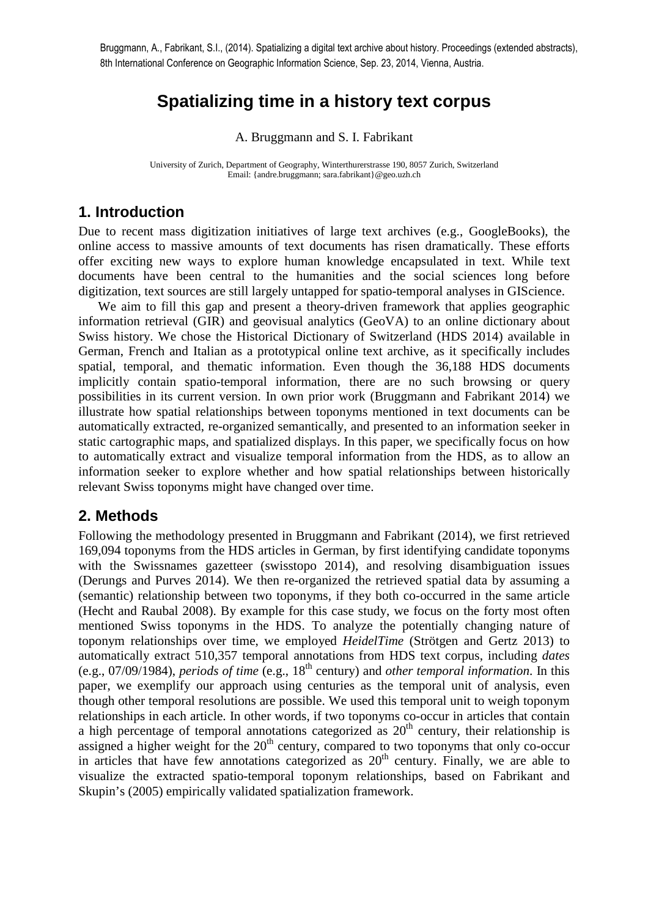Bruggmann, A., Fabrikant, S.I., (2014). Spatializing a digital text archive about history. Proceedings (extended abstracts), 8th International Conference on Geographic Information Science, Sep. 23, 2014, Vienna, Austria.

# **Spatializing time in a history text corpus**

A. Bruggmann and S. I. Fabrikant

University of Zurich, Department of Geography, Winterthurerstrasse 190, 8057 Zurich, Switzerland Email: {andre.bruggmann; sara.fabrikant}@geo.uzh.ch

## **1. Introduction**

Due to recent mass digitization initiatives of large text archives (e.g., GoogleBooks), the online access to massive amounts of text documents has risen dramatically. These efforts offer exciting new ways to explore human knowledge encapsulated in text. While text documents have been central to the humanities and the social sciences long before digitization, text sources are still largely untapped for spatio-temporal analyses in GIScience.

We aim to fill this gap and present a theory-driven framework that applies geographic information retrieval (GIR) and geovisual analytics (GeoVA) to an online dictionary about Swiss history. We chose the Historical Dictionary of Switzerland (HDS 2014) available in German, French and Italian as a prototypical online text archive, as it specifically includes spatial, temporal, and thematic information. Even though the 36,188 HDS documents implicitly contain spatio-temporal information, there are no such browsing or query possibilities in its current version. In own prior work (Bruggmann and Fabrikant 2014) we illustrate how spatial relationships between toponyms mentioned in text documents can be automatically extracted, re-organized semantically, and presented to an information seeker in static cartographic maps, and spatialized displays. In this paper, we specifically focus on how to automatically extract and visualize temporal information from the HDS, as to allow an information seeker to explore whether and how spatial relationships between historically relevant Swiss toponyms might have changed over time.

### **2. Methods**

Following the methodology presented in Bruggmann and Fabrikant (2014), we first retrieved 169,094 toponyms from the HDS articles in German, by first identifying candidate toponyms with the Swissnames gazetteer (swisstopo 2014), and resolving disambiguation issues (Derungs and Purves 2014). We then re-organized the retrieved spatial data by assuming a (semantic) relationship between two toponyms, if they both co-occurred in the same article (Hecht and Raubal 2008). By example for this case study, we focus on the forty most often mentioned Swiss toponyms in the HDS. To analyze the potentially changing nature of toponym relationships over time, we employed *HeidelTime* (Strötgen and Gertz 2013) to automatically extract 510,357 temporal annotations from HDS text corpus, including *dates* (e.g., 07/09/1984), *periods of time* (e.g., 18th century) and *other temporal information*. In this paper, we exemplify our approach using centuries as the temporal unit of analysis, even though other temporal resolutions are possible. We used this temporal unit to weigh toponym relationships in each article. In other words, if two toponyms co-occur in articles that contain a high percentage of temporal annotations categorized as  $20<sup>th</sup>$  century, their relationship is assigned a higher weight for the  $20<sup>th</sup>$  century, compared to two toponyms that only co-occur in articles that have few annotations categorized as  $20<sup>th</sup>$  century. Finally, we are able to visualize the extracted spatio-temporal toponym relationships, based on Fabrikant and Skupin's (2005) empirically validated spatialization framework.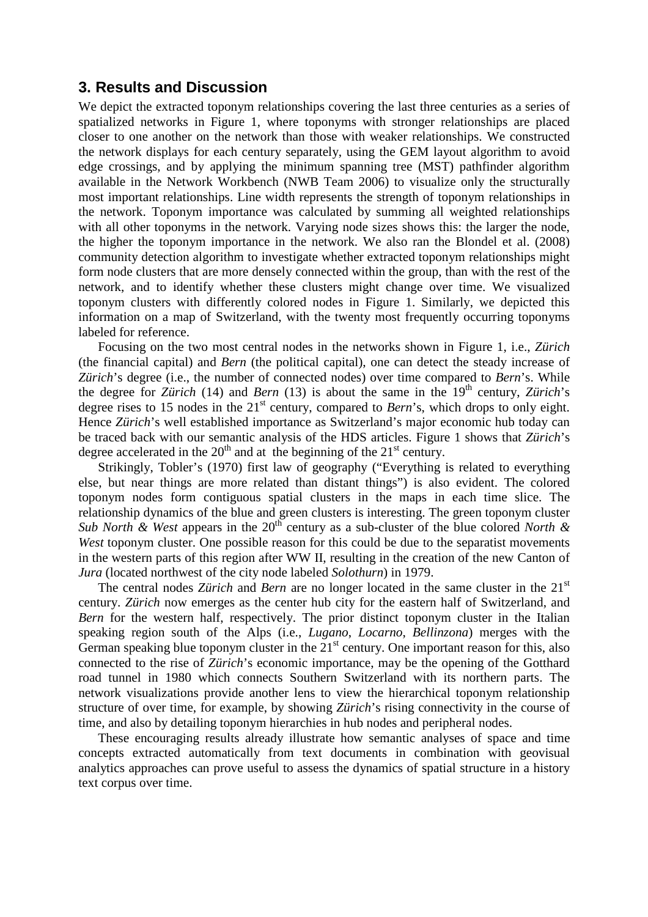#### **3. Results and Discussion**

We depict the extracted toponym relationships covering the last three centuries as a series of spatialized networks in Figure 1, where toponyms with stronger relationships are placed closer to one another on the network than those with weaker relationships. We constructed the network displays for each century separately, using the GEM layout algorithm to avoid edge crossings, and by applying the minimum spanning tree (MST) pathfinder algorithm available in the Network Workbench (NWB Team 2006) to visualize only the structurally most important relationships. Line width represents the strength of toponym relationships in the network. Toponym importance was calculated by summing all weighted relationships with all other toponyms in the network. Varying node sizes shows this: the larger the node, the higher the toponym importance in the network. We also ran the Blondel et al. (2008) community detection algorithm to investigate whether extracted toponym relationships might form node clusters that are more densely connected within the group, than with the rest of the network, and to identify whether these clusters might change over time. We visualized toponym clusters with differently colored nodes in Figure 1. Similarly, we depicted this information on a map of Switzerland, with the twenty most frequently occurring toponyms labeled for reference.

Focusing on the two most central nodes in the networks shown in Figure 1, i.e., *Zürich* (the financial capital) and *Bern* (the political capital), one can detect the steady increase of *Zürich*'s degree (i.e., the number of connected nodes) over time compared to *Bern*'s. While the degree for *Zürich* (14) and *Bern* (13) is about the same in the 19<sup>th</sup> century, *Zürich*'s degree rises to 15 nodes in the 21<sup>st</sup> century, compared to *Bern*'s, which drops to only eight. Hence *Zürich*'s well established importance as Switzerland's major economic hub today can be traced back with our semantic analysis of the HDS articles. Figure 1 shows that *Zürich*'s degree accelerated in the  $20<sup>th</sup>$  and at the beginning of the  $21<sup>st</sup>$  century.

Strikingly, Tobler's (1970) first law of geography ("Everything is related to everything else, but near things are more related than distant things") is also evident. The colored toponym nodes form contiguous spatial clusters in the maps in each time slice. The relationship dynamics of the blue and green clusters is interesting. The green toponym cluster *Sub North & West* appears in the 20<sup>th</sup> century as a sub-cluster of the blue colored *North & West* toponym cluster. One possible reason for this could be due to the separatist movements in the western parts of this region after WW II, resulting in the creation of the new Canton of *Jura* (located northwest of the city node labeled *Solothurn*) in 1979.

The central nodes Zürich and *Bern* are no longer located in the same cluster in the 21<sup>st</sup> century. *Zürich* now emerges as the center hub city for the eastern half of Switzerland, and *Bern* for the western half, respectively. The prior distinct toponym cluster in the Italian speaking region south of the Alps (i.e., *Lugano*, *Locarno*, *Bellinzona*) merges with the German speaking blue toponym cluster in the  $21<sup>st</sup>$  century. One important reason for this, also connected to the rise of *Zürich*'s economic importance, may be the opening of the Gotthard road tunnel in 1980 which connects Southern Switzerland with its northern parts. The network visualizations provide another lens to view the hierarchical toponym relationship structure of over time, for example, by showing *Zürich*'s rising connectivity in the course of time, and also by detailing toponym hierarchies in hub nodes and peripheral nodes.

These encouraging results already illustrate how semantic analyses of space and time concepts extracted automatically from text documents in combination with geovisual analytics approaches can prove useful to assess the dynamics of spatial structure in a history text corpus over time.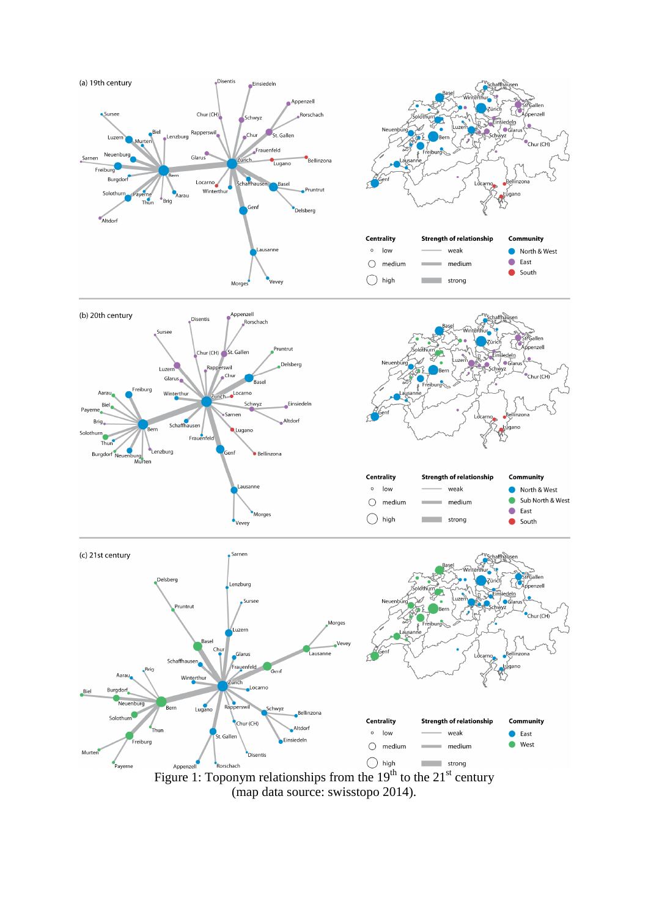

**Disentis** 

Figure 1: Toponym relationships from the  $19<sup>th</sup>$  to the  $21<sup>st</sup>$  century (map data source: swisstopo 2014).